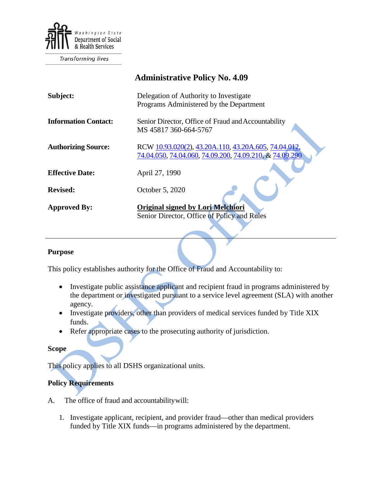

Transforming lives

|                             | <b>Administrative Policy No. 4.09</b>                                                                           |
|-----------------------------|-----------------------------------------------------------------------------------------------------------------|
| Subject:                    | Delegation of Authority to Investigate<br>Programs Administered by the Department                               |
| <b>Information Contact:</b> | Senior Director, Office of Fraud and Accountability<br>MS 45817 360-664-5767                                    |
| <b>Authorizing Source:</b>  | RCW 10.93.020(2), 43.20A.110, 43.20A.605, 74.04.012,<br>74.04.050, 74.04.060, 74.09.200, 74.09.210, & 74.09.290 |
| <b>Effective Date:</b>      | April 27, 1990                                                                                                  |
| <b>Revised:</b>             | October 5, 2020                                                                                                 |
| <b>Approved By:</b>         | <b>Original signed by Lori Melchiori</b><br>Senior Director, Office of Policy and Rules                         |

## **Purpose**

This policy establishes authority for the Office of Fraud and Accountability to:

- Investigate public assistance applicant and recipient fraud in programs administered by the department or investigated pursuant to a service level agreement (SLA) with another agency.
- Investigate providers, other than providers of medical services funded by Title XIX funds.
- Refer appropriate cases to the prosecuting authority of jurisdiction.

## **Scope**

This policy applies to all DSHS organizational units.

## **Policy Requirements**

- A. The office of fraud and accountabilitywill:
	- 1. Investigate applicant, recipient, and provider fraud—other than medical providers funded by Title XIX funds—in programs administered by the department.